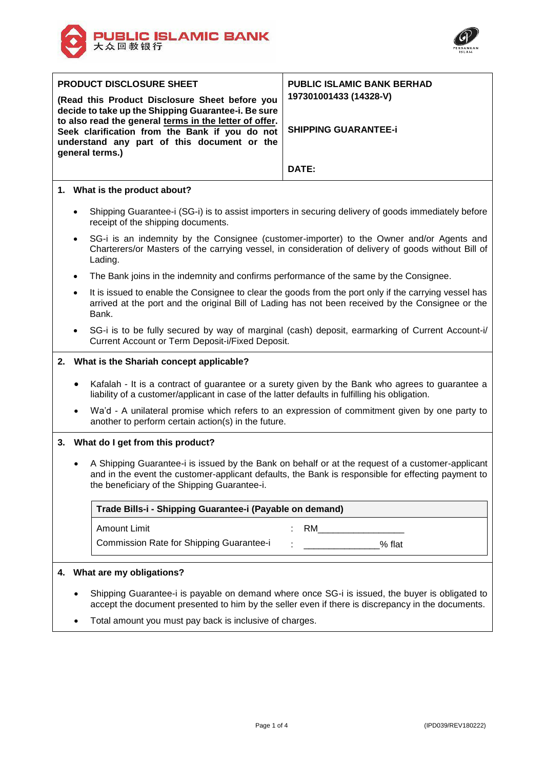



| <b>PRODUCT DISCLOSURE SHEET</b>                                                                                  |                             |                                                                                                                                                                                                                                                        | <b>PUBLIC ISLAMIC BANK BERHAD</b>                                                                   |  |
|------------------------------------------------------------------------------------------------------------------|-----------------------------|--------------------------------------------------------------------------------------------------------------------------------------------------------------------------------------------------------------------------------------------------------|-----------------------------------------------------------------------------------------------------|--|
|                                                                                                                  |                             | (Read this Product Disclosure Sheet before you<br>decide to take up the Shipping Guarantee-i. Be sure<br>to also read the general terms in the letter of offer.                                                                                        | 197301001433 (14328-V)                                                                              |  |
| Seek clarification from the Bank if you do not<br>understand any part of this document or the<br>general terms.) |                             |                                                                                                                                                                                                                                                        | <b>SHIPPING GUARANTEE-i</b>                                                                         |  |
|                                                                                                                  |                             |                                                                                                                                                                                                                                                        | DATE:                                                                                               |  |
|                                                                                                                  |                             | 1. What is the product about?                                                                                                                                                                                                                          |                                                                                                     |  |
|                                                                                                                  | $\bullet$                   | receipt of the shipping documents.                                                                                                                                                                                                                     | Shipping Guarantee-i (SG-i) is to assist importers in securing delivery of goods immediately before |  |
|                                                                                                                  | $\bullet$                   | SG-i is an indemnity by the Consignee (customer-importer) to the Owner and/or Agents and<br>Charterers/or Masters of the carrying vessel, in consideration of delivery of goods without Bill of<br>Lading.                                             |                                                                                                     |  |
|                                                                                                                  | $\bullet$                   | The Bank joins in the indemnity and confirms performance of the same by the Consignee.                                                                                                                                                                 |                                                                                                     |  |
|                                                                                                                  | $\bullet$                   | It is issued to enable the Consignee to clear the goods from the port only if the carrying vessel has<br>arrived at the port and the original Bill of Lading has not been received by the Consignee or the<br>Bank.                                    |                                                                                                     |  |
|                                                                                                                  |                             | SG-i is to be fully secured by way of marginal (cash) deposit, earmarking of Current Account-i/<br>Current Account or Term Deposit-i/Fixed Deposit.                                                                                                    |                                                                                                     |  |
|                                                                                                                  |                             | 2. What is the Shariah concept applicable?                                                                                                                                                                                                             |                                                                                                     |  |
|                                                                                                                  |                             | Kafalah - It is a contract of guarantee or a surety given by the Bank who agrees to guarantee a<br>liability of a customer/applicant in case of the latter defaults in fulfilling his obligation.                                                      |                                                                                                     |  |
|                                                                                                                  |                             | another to perform certain action(s) in the future.                                                                                                                                                                                                    | Wa'd - A unilateral promise which refers to an expression of commitment given by one party to       |  |
|                                                                                                                  |                             | 3. What do I get from this product?                                                                                                                                                                                                                    |                                                                                                     |  |
|                                                                                                                  |                             | A Shipping Guarantee-i is issued by the Bank on behalf or at the request of a customer-applicant<br>and in the event the customer-applicant defaults, the Bank is responsible for effecting payment to<br>the beneficiary of the Shipping Guarantee-i. |                                                                                                     |  |
|                                                                                                                  |                             | Trade Bills-i - Shipping Guarantee-i (Payable on demand)                                                                                                                                                                                               |                                                                                                     |  |
|                                                                                                                  |                             | <b>Amount Limit</b>                                                                                                                                                                                                                                    | RM <b>RM</b>                                                                                        |  |
|                                                                                                                  |                             | Commission Rate for Shipping Guarantee-i                                                                                                                                                                                                               | <b>1986</b> Mercedes Washington Street, New York 1987                                               |  |
|                                                                                                                  |                             |                                                                                                                                                                                                                                                        |                                                                                                     |  |
|                                                                                                                  | 4. What are my obligations? |                                                                                                                                                                                                                                                        |                                                                                                     |  |

- Shipping Guarantee-i is payable on demand where once SG-i is issued, the buyer is obligated to accept the document presented to him by the seller even if there is discrepancy in the documents.
- Total amount you must pay back is inclusive of charges.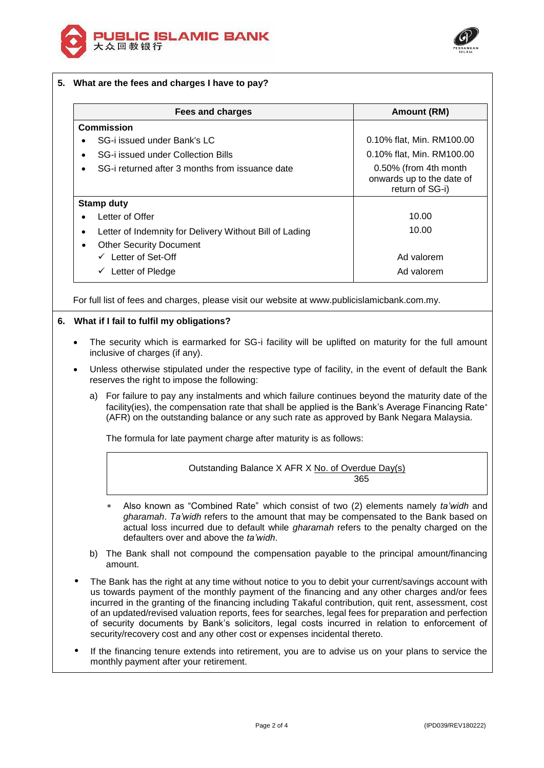



|   | Fees and charges                                        | Amount (RM)                                                           |
|---|---------------------------------------------------------|-----------------------------------------------------------------------|
|   | <b>Commission</b>                                       |                                                                       |
|   | SG-i issued under Bank's LC                             | 0.10% flat, Min. RM100.00                                             |
|   | SG-i issued under Collection Bills                      | 0.10% flat, Min. RM100.00                                             |
|   | SG-i returned after 3 months from issuance date         | 0.50% (from 4th month<br>onwards up to the date of<br>return of SG-i) |
|   | <b>Stamp duty</b>                                       |                                                                       |
|   | Letter of Offer                                         | 10.00                                                                 |
| ٠ | Letter of Indemnity for Delivery Without Bill of Lading | 10.00                                                                 |
| ٠ | <b>Other Security Document</b>                          |                                                                       |
|   | $\checkmark$ Letter of Set-Off                          | Ad valorem                                                            |
|   | $\checkmark$ Letter of Pledge                           | Ad valorem                                                            |

# **6. What if I fail to fulfil my obligations?**

- The security which is earmarked for SG-i facility will be uplifted on maturity for the full amount inclusive of charges (if any).
- Unless otherwise stipulated under the respective type of facility, in the event of default the Bank reserves the right to impose the following:
	- a) For failure to pay any instalments and which failure continues beyond the maturity date of the facility(ies), the compensation rate that shall be applied is the Bank's Average Financing Rate\* (AFR) on the outstanding balance or any such rate as approved by Bank Negara Malaysia.

The formula for late payment charge after maturity is as follows:

Outstanding Balance X AFR X No. of Overdue Day(s) 365

- Also known as "Combined Rate" which consist of two (2) elements namely *ta'widh* and *gharamah*. *Ta'widh* refers to the amount that may be compensated to the Bank based on actual loss incurred due to default while *gharamah* refers to the penalty charged on the defaulters over and above the *ta'widh*.
- b) The Bank shall not compound the compensation payable to the principal amount/financing amount.
- The Bank has the right at any time without notice to you to debit your current/savings account with us towards payment of the monthly payment of the financing and any other charges and/or fees incurred in the granting of the financing including Takaful contribution, quit rent, assessment, cost of an updated/revised valuation reports, fees for searches, legal fees for preparation and perfection of security documents by Bank's solicitors, legal costs incurred in relation to enforcement of security/recovery cost and any other cost or expenses incidental thereto.
- If the financing tenure extends into retirement, you are to advise us on your plans to service the monthly payment after your retirement.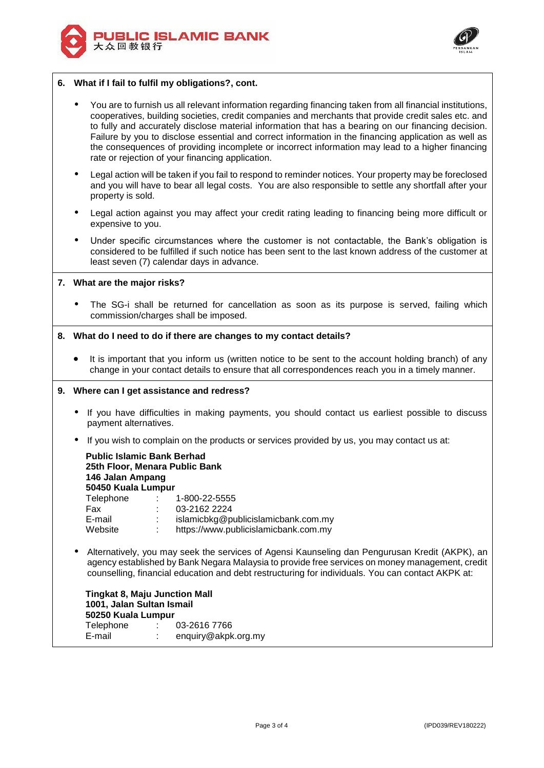



## **6. What if I fail to fulfil my obligations?, cont.**

- You are to furnish us all relevant information regarding financing taken from all financial institutions, cooperatives, building societies, credit companies and merchants that provide credit sales etc. and to fully and accurately disclose material information that has a bearing on our financing decision. Failure by you to disclose essential and correct information in the financing application as well as the consequences of providing incomplete or incorrect information may lead to a higher financing rate or rejection of your financing application.
- Legal action will be taken if you fail to respond to reminder notices. Your property may be foreclosed and you will have to bear all legal costs. You are also responsible to settle any shortfall after your property is sold.
- Legal action against you may affect your credit rating leading to financing being more difficult or expensive to you.
- Under specific circumstances where the customer is not contactable, the Bank's obligation is considered to be fulfilled if such notice has been sent to the last known address of the customer at least seven (7) calendar days in advance.

## **7. What are the major risks?**

 The SG-i shall be returned for cancellation as soon as its purpose is served, failing which commission/charges shall be imposed.

### **8. What do I need to do if there are changes to my contact details?**

 It is important that you inform us (written notice to be sent to the account holding branch) of any change in your contact details to ensure that all correspondences reach you in a timely manner.

### **9. Where can I get assistance and redress?**

- If you have difficulties in making payments, you should contact us earliest possible to discuss payment alternatives.
- If you wish to complain on the products or services provided by us, you may contact us at:

| <b>Public Islamic Bank Berhad</b><br>25th Floor, Menara Public Bank<br>146 Jalan Ampang<br>50450 Kuala Lumpur |  |                                      |  |  |  |  |
|---------------------------------------------------------------------------------------------------------------|--|--------------------------------------|--|--|--|--|
| Telephone                                                                                                     |  | 1-800-22-5555                        |  |  |  |  |
| Fax                                                                                                           |  | 03-2162 2224                         |  |  |  |  |
| E-mail                                                                                                        |  | islamicbkg@publicislamicbank.com.my  |  |  |  |  |
| Website                                                                                                       |  | https://www.publicislamicbank.com.my |  |  |  |  |

 Alternatively, you may seek the services of Agensi Kaunseling dan Pengurusan Kredit (AKPK), an agency established by Bank Negara Malaysia to provide free services on money management, credit counselling, financial education and debt restructuring for individuals. You can contact AKPK at:

**Tingkat 8, Maju Junction Mall 1001, Jalan Sultan Ismail 50250 Kuala Lumpur** Telephone : 03-2616 7766 E-mail : enquiry@akpk.org.my